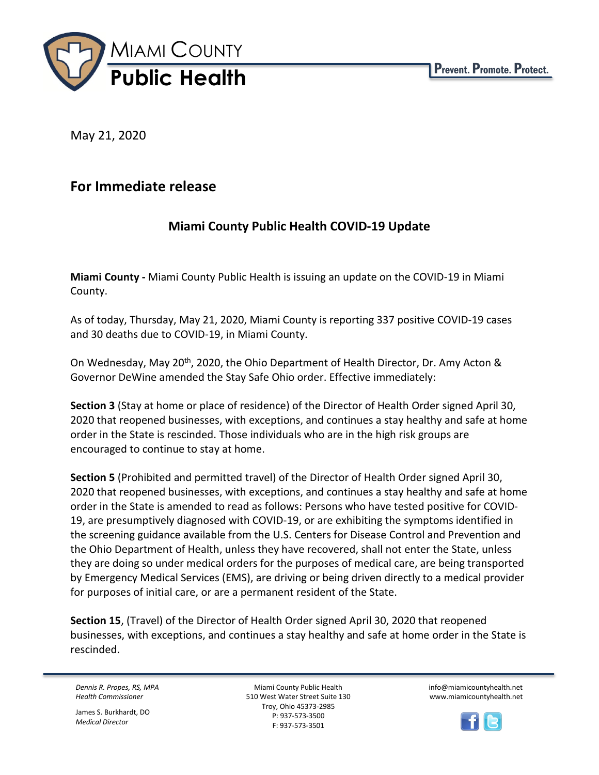

May 21, 2020

## **For Immediate release**

## **Miami County Public Health COVID-19 Update**

**Miami County -** Miami County Public Health is issuing an update on the COVID-19 in Miami County.

As of today, Thursday, May 21, 2020, Miami County is reporting 337 positive COVID-19 cases and 30 deaths due to COVID-19, in Miami County.

On Wednesday, May 20<sup>th</sup>, 2020, the Ohio Department of Health Director, Dr. Amy Acton & Governor DeWine amended the Stay Safe Ohio order. Effective immediately:

**Section 3** (Stay at home or place of residence) of the Director of Health Order signed April 30, 2020 that reopened businesses, with exceptions, and continues a stay healthy and safe at home order in the State is rescinded. Those individuals who are in the high risk groups are encouraged to continue to stay at home.

**Section 5** (Prohibited and permitted travel) of the Director of Health Order signed April 30, 2020 that reopened businesses, with exceptions, and continues a stay healthy and safe at home order in the State is amended to read as follows: Persons who have tested positive for COVID-19, are presumptively diagnosed with COVID-19, or are exhibiting the symptoms identified in the screening guidance available from the U.S. Centers for Disease Control and Prevention and the Ohio Department of Health, unless they have recovered, shall not enter the State, unless they are doing so under medical orders for the purposes of medical care, are being transported by Emergency Medical Services (EMS), are driving or being driven directly to a medical provider for purposes of initial care, or are a permanent resident of the State.

**Section 15**, (Travel) of the Director of Health Order signed April 30, 2020 that reopened businesses, with exceptions, and continues a stay healthy and safe at home order in the State is rescinded.

*Dennis R. Propes, RS, MPA Health Commissioner*

James S. Burkhardt, DO *Medical Director*

Miami County Public Health 510 West Water Street Suite 130 Troy, Ohio 45373-2985 P: 937-573-3500 F: 937-573-3501

info@miamicountyhealth.net www.miamicountyhealth.net